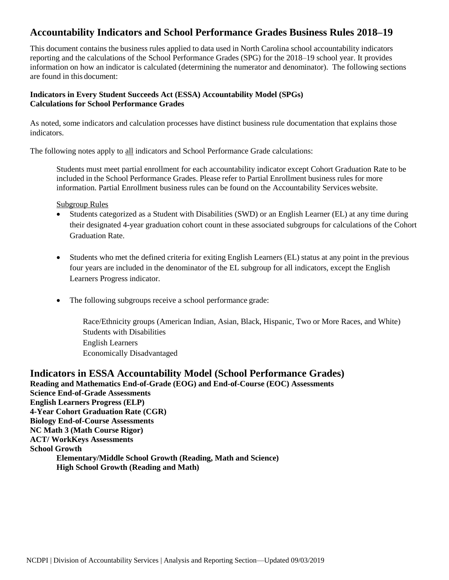# **Accountability Indicators and School Performance Grades Business Rules 2018–19**

This document contains the business rules applied to data used in North Carolina school accountability indicators reporting and the calculations of the School Performance Grades (SPG) for the 2018–19 school year. It provides information on how an indicator is calculated (determining the numerator and denominator). The following sections are found in this document:

# **Indicators in Every Student Succeeds Act (ESSA) Accountability Model (SPGs) Calculations for School Performance Grades**

As noted, some indicators and calculation processes have distinct business rule documentation that explains those indicators.

The following notes apply to all indicators and School Performance Grade calculations:

Students must meet partial enrollment for each accountability indicator except Cohort Graduation Rate to be included in the School Performance Grades. Please refer to Partial Enrollment business rules for more information. Partial Enrollment business rules can be found on the Accountability Services website.

Subgroup Rules

- Students categorized as a Student with Disabilities (SWD) or an English Learner (EL) at any time during their designated 4-year graduation cohort count in these associated subgroups for calculations of the Cohort Graduation Rate.
- Students who met the defined criteria for exiting English Learners (EL) status at any point in the previous four years are included in the denominator of the EL subgroup for all indicators, except the English Learners Progress indicator.
- The following subgroups receive a school performance grade:

Race/Ethnicity groups (American Indian, Asian, Black, Hispanic, Two or More Races, and White) Students with Disabilities English Learners Economically Disadvantaged

**Indicators in ESSA Accountability Model (School Performance Grades) Reading and Mathematics End-of-Grade (EOG) and End-of-Course (EOC) Assessments Science End-of-Grade Assessments English Learners Progress (ELP) 4-Year Cohort Graduation Rate (CGR) Biology End-of-Course Assessments NC Math 3 (Math Course Rigor) ACT/ WorkKeys Assessments School Growth Elementary/Middle School Growth (Reading, Math and Science) High School Growth (Reading and Math)**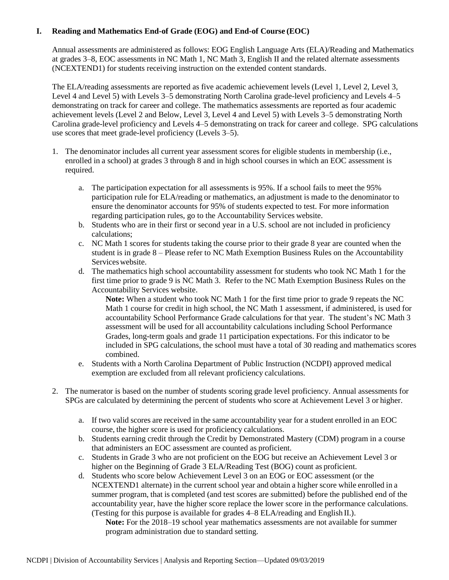# **I. Reading and Mathematics End-of Grade (EOG) and End-of Course (EOC)**

Annual assessments are administered as follows: EOG English Language Arts (ELA)/Reading and Mathematics at grades 3–8, EOC assessments in NC Math 1, NC Math 3, English II and the related alternate assessments (NCEXTEND1) for students receiving instruction on the extended content standards.

The ELA/reading assessments are reported as five academic achievement levels (Level 1, Level 2, Level 3, Level 4 and Level 5) with Levels 3–5 demonstrating North Carolina grade-level proficiency and Levels 4–5 demonstrating on track for career and college. The mathematics assessments are reported as four academic achievement levels (Level 2 and Below, Level 3, Level 4 and Level 5) with Levels 3–5 demonstrating North Carolina grade-level proficiency and Levels 4–5 demonstrating on track for career and college. SPG calculations use scores that meet grade-level proficiency (Levels 3–5).

- 1. The denominator includes all current year assessment scores for eligible students in membership (i.e., enrolled in a school) at grades 3 through 8 and in high school courses in which an EOC assessment is required.
	- a. The participation expectation for all assessments is 95%. If a school fails to meet the 95% participation rule for ELA/reading or mathematics, an adjustment is made to the denominator to ensure the denominator accounts for 95% of students expected to test. For more information regarding participation rules, go to the Accountability Services website.
	- b. Students who are in their first or second year in a U.S. school are not included in proficiency calculations;
	- c. NC Math 1 scores for students taking the course prior to their grade 8 year are counted when the student is in grade 8 – Please refer to NC Math Exemption Business Rules on the Accountability Services website.
	- d. The mathematics high school accountability assessment for students who took NC Math 1 for the first time prior to grade 9 is NC Math 3. Refer to the NC Math Exemption Business Rules on the Accountability Services website.

**Note:** When a student who took NC Math 1 for the first time prior to grade 9 repeats the NC Math 1 course for credit in high school, the NC Math 1 assessment, if administered, is used for accountability School Performance Grade calculations for that year. The student's NC Math 3 assessment will be used for all accountability calculations including School Performance Grades, long-term goals and grade 11 participation expectations. For this indicator to be included in SPG calculations, the school must have a total of 30 reading and mathematics scores combined.

- e. Students with a North Carolina Department of Public Instruction (NCDPI) approved medical exemption are excluded from all relevant proficiency calculations.
- 2. The numerator is based on the number of students scoring grade level proficiency. Annual assessments for SPGs are calculated by determining the percent of students who score at Achievement Level 3 or higher.
	- a. If two valid scores are received in the same accountability year for a student enrolled in an EOC course, the higher score is used for proficiency calculations.
	- b. Students earning credit through the Credit by Demonstrated Mastery (CDM) program in a course that administers an EOC assessment are counted as proficient.
	- c. Students in Grade 3 who are not proficient on the EOG but receive an Achievement Level 3 or higher on the Beginning of Grade 3 ELA/Reading Test (BOG) count as proficient.
	- d. Students who score below Achievement Level 3 on an EOG or EOC assessment (or the NCEXTEND1 alternate) in the current school year and obtain a higher score while enrolled in a summer program, that is completed (and test scores are submitted) before the published end of the accountability year, have the higher score replace the lower score in the performance calculations. (Testing for this purpose is available for grades 4–8 ELA/reading and English II.).

**Note:** For the 2018–19 school year mathematics assessments are not available for summer program administration due to standard setting.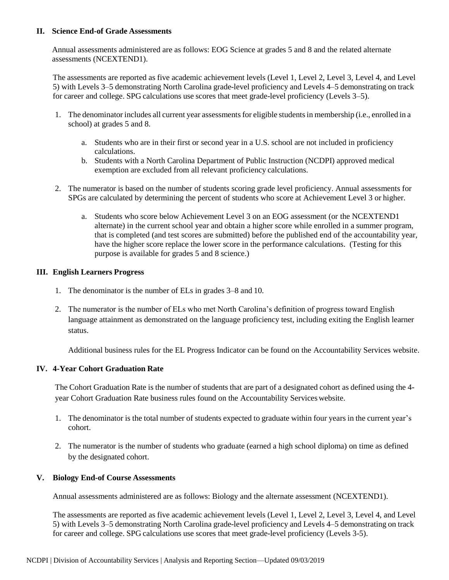## **II. Science End-of Grade Assessments**

Annual assessments administered are as follows: EOG Science at grades 5 and 8 and the related alternate assessments (NCEXTEND1).

The assessments are reported as five academic achievement levels (Level 1, Level 2, Level 3, Level 4, and Level 5) with Levels 3–5 demonstrating North Carolina grade-level proficiency and Levels 4–5 demonstrating on track for career and college. SPG calculations use scores that meet grade-level proficiency (Levels 3–5).

- 1. The denominator includes all current year assessments for eligible students in membership (i.e., enrolled in a school) at grades 5 and 8.
	- a. Students who are in their first or second year in a U.S. school are not included in proficiency calculations.
	- b. Students with a North Carolina Department of Public Instruction (NCDPI) approved medical exemption are excluded from all relevant proficiency calculations.
- 2. The numerator is based on the number of students scoring grade level proficiency. Annual assessments for SPGs are calculated by determining the percent of students who score at Achievement Level 3 or higher.
	- a. Students who score below Achievement Level 3 on an EOG assessment (or the NCEXTEND1 alternate) in the current school year and obtain a higher score while enrolled in a summer program, that is completed (and test scores are submitted) before the published end of the accountability year, have the higher score replace the lower score in the performance calculations. (Testing for this purpose is available for grades 5 and 8 science.)

## **III. English Learners Progress**

- 1. The denominator is the number of ELs in grades 3–8 and 10.
- 2. The numerator is the number of ELs who met North Carolina's definition of progress toward English language attainment as demonstrated on the language proficiency test, including exiting the English learner status.

Additional business rules for the EL Progress Indicator can be found on the Accountability Services website.

## **IV. 4-Year Cohort Graduation Rate**

The Cohort Graduation Rate is the number of students that are part of a designated cohort as defined using the 4 year Cohort Graduation Rate business rules found on the Accountability Services website.

- 1. The denominator is the total number of students expected to graduate within four years in the current year's cohort.
- 2. The numerator is the number of students who graduate (earned a high school diploma) on time as defined by the designated cohort.

#### **V. Biology End-of Course Assessments**

Annual assessments administered are as follows: Biology and the alternate assessment (NCEXTEND1).

The assessments are reported as five academic achievement levels (Level 1, Level 2, Level 3, Level 4, and Level 5) with Levels 3–5 demonstrating North Carolina grade-level proficiency and Levels 4–5 demonstrating on track for career and college. SPG calculations use scores that meet grade-level proficiency (Levels 3-5).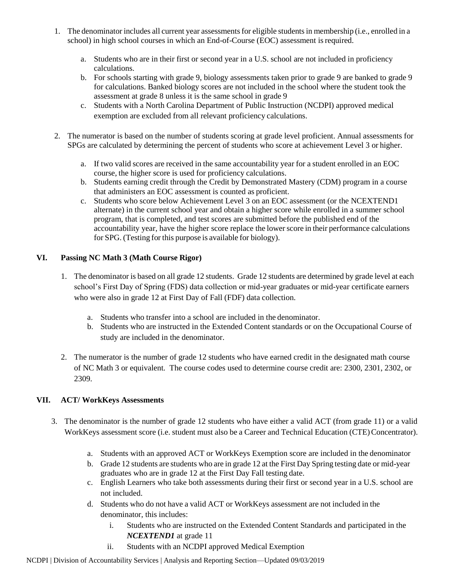- 1. The denominator includes all current year assessments for eligible students in membership (i.e., enrolled in a school) in high school courses in which an End-of-Course (EOC) assessment isrequired.
	- a. Students who are in their first or second year in a U.S. school are not included in proficiency calculations.
	- b. For schools starting with grade 9, biology assessments taken prior to grade 9 are banked to grade 9 for calculations. Banked biology scores are not included in the school where the student took the assessment at grade 8 unless it is the same school in grade 9
	- c. Students with a North Carolina Department of Public Instruction (NCDPI) approved medical exemption are excluded from all relevant proficiency calculations.
- 2. The numerator is based on the number of students scoring at grade level proficient. Annual assessments for SPGs are calculated by determining the percent of students who score at achievement Level 3 or higher.
	- a. If two valid scores are received in the same accountability year for a student enrolled in an EOC course, the higher score is used for proficiency calculations.
	- b. Students earning credit through the Credit by Demonstrated Mastery (CDM) program in a course that administers an EOC assessment is counted as proficient.
	- c. Students who score below Achievement Level 3 on an EOC assessment (or the NCEXTEND1 alternate) in the current school year and obtain a higher score while enrolled in a summer school program, that is completed, and test scores are submitted before the published end of the accountability year, have the higher score replace the lowerscore in their performance calculations for SPG. (Testing for this purpose is available for biology).

# **VI. Passing NC Math 3 (Math Course Rigor)**

- 1. The denominator is based on all grade 12 students. Grade 12 students are determined by grade level at each school's First Day of Spring (FDS) data collection or mid-year graduates or mid-year certificate earners who were also in grade 12 at First Day of Fall (FDF) data collection.
	- a. Students who transfer into a school are included in the denominator.
	- b. Students who are instructed in the Extended Content standards or on the Occupational Course of study are included in the denominator.
- 2. The numerator is the number of grade 12 students who have earned credit in the designated math course of NC Math 3 or equivalent. The course codes used to determine course credit are: 2300, 2301, 2302, or 2309.

# **VII. ACT/ WorkKeys Assessments**

- 3. The denominator is the number of grade 12 students who have either a valid ACT (from grade 11) or a valid WorkKeys assessment score (i.e. student must also be a Career and Technical Education (CTE) Concentrator).
	- a. Students with an approved ACT or WorkKeys Exemption score are included in the denominator
	- b. Grade 12 students are students who are in grade 12 at the First Day Spring testing date or mid-year graduates who are in grade 12 at the First Day Fall testing date.
	- c. English Learners who take both assessments during their first or second year in a U.S. school are not included.
	- d. Students who do not have a valid ACT or WorkKeys assessment are not included in the denominator, this includes:
		- i. Students who are instructed on the Extended Content Standards and participated in the *NCEXTEND1* at grade 11
		- ii. Students with an NCDPI approved Medical Exemption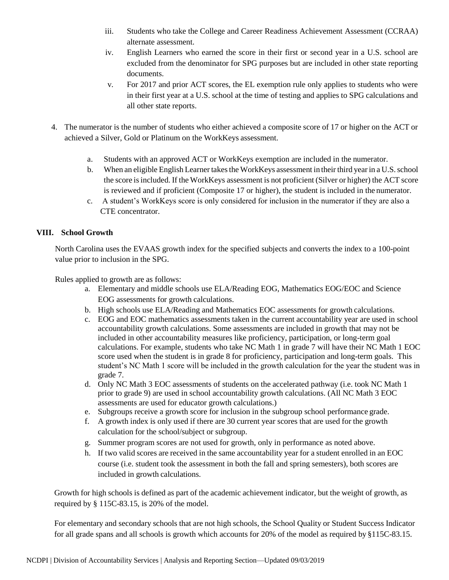- iii. Students who take the College and Career Readiness Achievement Assessment (CCRAA) alternate assessment.
- iv. English Learners who earned the score in their first or second year in a U.S. school are excluded from the denominator for SPG purposes but are included in other state reporting documents.
- v. For 2017 and prior ACT scores, the EL exemption rule only applies to students who were in their first year at a U.S. school at the time of testing and applies to SPG calculations and all other state reports.
- 4. The numerator is the number of students who either achieved a composite score of 17 or higher on the ACT or achieved a Silver, Gold or Platinum on the WorkKeys assessment.
	- a. Students with an approved ACT or WorkKeys exemption are included in the numerator.
	- b. When an eligible English Learner takes the WorkKeys assessment in their third year in a U.S. school the score isincluded. If the WorkKeys assessment is not proficient (Silver or higher) the ACT score is reviewed and if proficient (Composite 17 or higher), the student is included in the numerator.
	- c. A student's WorkKeys score is only considered for inclusion in the numerator if they are also a CTE concentrator.

# **VIII. School Growth**

North Carolina uses the EVAAS growth index for the specified subjects and converts the index to a 100-point value prior to inclusion in the SPG.

Rules applied to growth are as follows:

- a. Elementary and middle schools use ELA/Reading EOG, Mathematics EOG/EOC and Science EOG assessments for growth calculations.
- b. High schools use ELA/Reading and Mathematics EOC assessments for growth calculations.
- c. EOG and EOC mathematics assessments taken in the current accountability year are used in school accountability growth calculations. Some assessments are included in growth that may not be included in other accountability measures like proficiency, participation, or long-term goal calculations. For example, students who take NC Math 1 in grade 7 will have their NC Math 1 EOC score used when the student is in grade 8 for proficiency, participation and long-term goals. This student's NC Math 1 score will be included in the growth calculation for the year the student was in grade 7.
- d. Only NC Math 3 EOC assessments of students on the accelerated pathway (i.e. took NC Math 1 prior to grade 9) are used in school accountability growth calculations. (All NC Math 3 EOC assessments are used for educator growth calculations.)
- e. Subgroups receive a growth score for inclusion in the subgroup school performance grade.
- f. A growth index is only used if there are 30 current year scores that are used for the growth calculation for the school/subject or subgroup.
- g. Summer program scores are not used for growth, only in performance as noted above.
- h. If two valid scores are received in the same accountability year for a student enrolled in an EOC course (i.e. student took the assessment in both the fall and spring semesters), both scores are included in growth calculations.

Growth for high schools is defined as part of the academic achievement indicator, but the weight of growth, as required by § 115C-83.15, is 20% of the model.

For elementary and secondary schools that are not high schools, the School Quality or Student Success Indicator for all grade spans and all schools is growth which accounts for 20% of the model as required by §115C-83.15.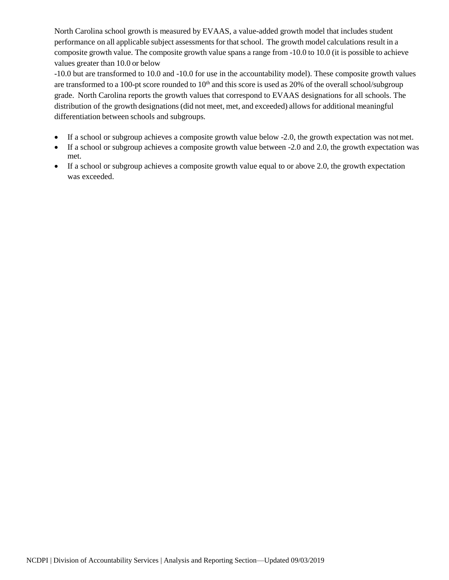North Carolina school growth is measured by EVAAS, a value-added growth model that includes student performance on all applicable subject assessmentsfor thatschool. The growth model calculations result in a composite growth value. The composite growth value spans a range from -10.0 to 10.0 (it is possible to achieve values greater than 10.0 or below

-10.0 but are transformed to 10.0 and -10.0 for use in the accountability model). These composite growth values are transformed to a 100-pt score rounded to 10<sup>th</sup> and this score is used as 20% of the overall school/subgroup grade. North Carolina reports the growth values that correspond to EVAAS designations for all schools. The distribution of the growth designations (did not meet, met, and exceeded) allows for additional meaningful differentiation between schools and subgroups.

- If a school or subgroup achieves a composite growth value below -2.0, the growth expectation was not met.
- If a school or subgroup achieves a composite growth value between -2.0 and 2.0, the growth expectation was met.
- If a school or subgroup achieves a composite growth value equal to or above 2.0, the growth expectation was exceeded.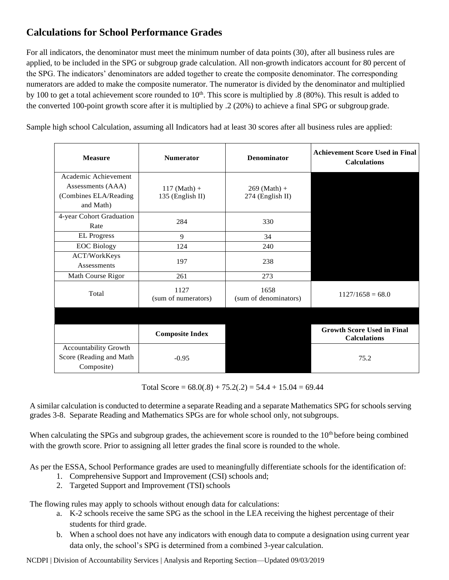# **Calculations for School Performance Grades**

For all indicators, the denominator must meet the minimum number of data points (30), after all business rules are applied, to be included in the SPG or subgroup grade calculation. All non-growth indicators account for 80 percent of the SPG. The indicators' denominators are added together to create the composite denominator. The corresponding numerators are added to make the composite numerator. The numerator is divided by the denominator and multiplied by 100 to get a total achievement score rounded to  $10<sup>th</sup>$ . This score is multiplied by .8 (80%). This result is added to the converted 100-point growth score after it is multiplied by .2 (20%) to achieve a final SPG or subgroup grade.

Sample high school Calculation, assuming all Indicators had at least 30 scores after all business rules are applied:

| <b>Measure</b>                                                                  | <b>Numerator</b>                   | <b>Denominator</b>                 | <b>Achievement Score Used in Final</b><br><b>Calculations</b> |
|---------------------------------------------------------------------------------|------------------------------------|------------------------------------|---------------------------------------------------------------|
| Academic Achievement<br>Assessments (AAA)<br>(Combines ELA/Reading<br>and Math) | $117$ (Math) +<br>135 (English II) | $269$ (Math) +<br>274 (English II) |                                                               |
| 4-year Cohort Graduation<br>Rate                                                | 284                                | 330                                |                                                               |
| <b>EL Progress</b>                                                              | 9                                  | 34                                 |                                                               |
| <b>EOC Biology</b>                                                              | 124                                | 240                                |                                                               |
| ACT/WorkKeys<br>Assessments                                                     | 197                                | 238                                |                                                               |
| Math Course Rigor                                                               | 261                                | 273                                |                                                               |
| Total                                                                           | 1127<br>(sum of numerators)        | 1658<br>(sum of denominators)      | $1127/1658 = 68.0$                                            |
|                                                                                 |                                    |                                    |                                                               |
|                                                                                 | <b>Composite Index</b>             |                                    | <b>Growth Score Used in Final</b><br><b>Calculations</b>      |
| Accountability Growth<br>Score (Reading and Math<br>Composite)                  | $-0.95$                            |                                    | 75.2                                                          |

Total Score =  $68.0(.8) + 75.2(.2) = 54.4 + 15.04 = 69.44$ 

A similar calculation is conducted to determine a separate Reading and a separate Mathematics SPG for schools serving grades 3-8. Separate Reading and Mathematics SPGs are for whole school only, notsubgroups.

When calculating the SPGs and subgroup grades, the achievement score is rounded to the  $10<sup>th</sup>$  before being combined with the growth score. Prior to assigning all letter grades the final score is rounded to the whole.

As per the ESSA, School Performance grades are used to meaningfully differentiate schools for the identification of:

- 1. Comprehensive Support and Improvement (CSI) schools and;
- 2. Targeted Support and Improvement (TSI) schools

The flowing rules may apply to schools without enough data for calculations:

- a. K-2 schools receive the same SPG as the school in the LEA receiving the highest percentage of their students for third grade.
- b. When a school does not have any indicators with enough data to compute a designation using current year data only, the school's SPG is determined from a combined 3-year calculation.

NCDPI | Division of Accountability Services | Analysis and Reporting Section—Updated 09/03/2019